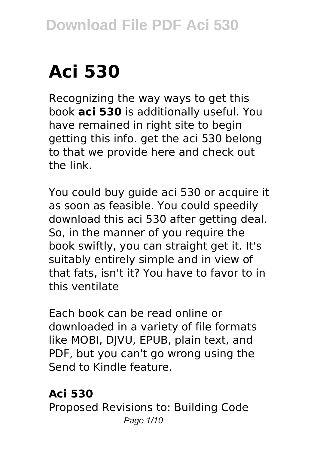# **Aci 530**

Recognizing the way ways to get this book **aci 530** is additionally useful. You have remained in right site to begin getting this info. get the aci 530 belong to that we provide here and check out the link.

You could buy guide aci 530 or acquire it as soon as feasible. You could speedily download this aci 530 after getting deal. So, in the manner of you require the book swiftly, you can straight get it. It's suitably entirely simple and in view of that fats, isn't it? You have to favor to in this ventilate

Each book can be read online or downloaded in a variety of file formats like MOBI, DJVU, EPUB, plain text, and PDF, but you can't go wrong using the Send to Kindle feature.

## **Aci 530**

Proposed Revisions to: Building Code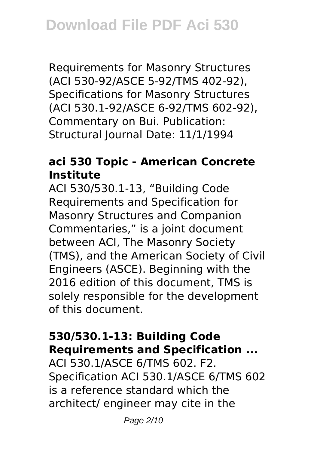Requirements for Masonry Structures (ACI 530-92/ASCE 5-92/TMS 402-92), Specifications for Masonry Structures (ACI 530.1-92/ASCE 6-92/TMS 602-92), Commentary on Bui. Publication: Structural Journal Date: 11/1/1994

## **aci 530 Topic - American Concrete Institute**

ACI 530/530.1-13, "Building Code Requirements and Specification for Masonry Structures and Companion Commentaries," is a joint document between ACI, The Masonry Society (TMS), and the American Society of Civil Engineers (ASCE). Beginning with the 2016 edition of this document, TMS is solely responsible for the development of this document.

# **530/530.1-13: Building Code Requirements and Specification ...**

ACI 530.1/ASCE 6/TMS 602. F2. Specification ACI 530.1/ASCE 6/TMS 602 is a reference standard which the architect/ engineer may cite in the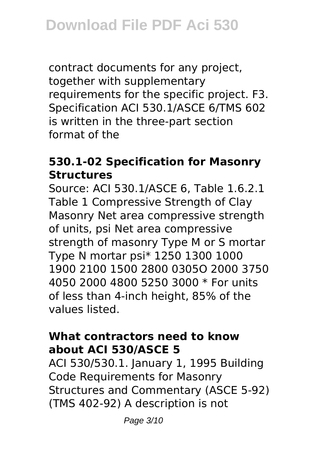contract documents for any project, together with supplementary requirements for the specific project. F3. Specification ACI 530.1/ASCE 6/TMS 602 is written in the three-part section format of the

## **530.1-02 Specification for Masonry Structures**

Source: ACI 530.1/ASCE 6, Table 1.6.2.1 Table 1 Compressive Strength of Clay Masonry Net area compressive strength of units, psi Net area compressive strength of masonry Type M or S mortar Type N mortar psi\* 1250 1300 1000 1900 2100 1500 2800 0305O 2000 3750 4050 2000 4800 5250 3000 \* For units of less than 4-inch height, 85% of the values listed.

## **What contractors need to know about ACI 530/ASCE 5**

ACI 530/530.1. January 1, 1995 Building Code Requirements for Masonry Structures and Commentary (ASCE 5-92) (TMS 402-92) A description is not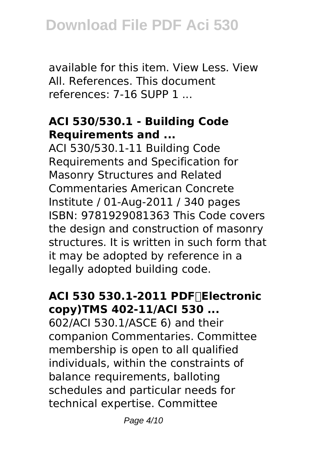available for this item. View Less. View All. References. This document references: 7-16 SUPP 1 ...

# **ACI 530/530.1 - Building Code Requirements and ...**

ACI 530/530.1-11 Building Code Requirements and Specification for Masonry Structures and Related Commentaries American Concrete Institute / 01-Aug-2011 / 340 pages ISBN: 9781929081363 This Code covers the design and construction of masonry structures. It is written in such form that it may be adopted by reference in a legally adopted building code.

# **ACI 530 530.1-2011 PDF(Electronic copy)TMS 402-11/ACI 530 ...**

602/ACI 530.1/ASCE 6) and their companion Commentaries. Committee membership is open to all qualified individuals, within the constraints of balance requirements, balloting schedules and particular needs for technical expertise. Committee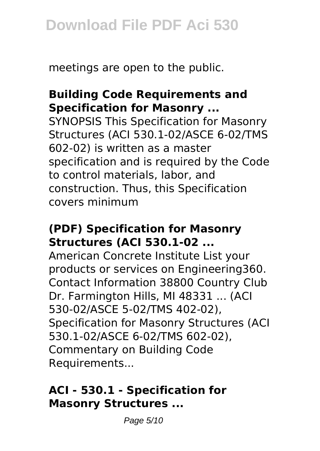meetings are open to the public.

# **Building Code Requirements and Specification for Masonry ...**

SYNOPSIS This Specification for Masonry Structures (ACI 530.1-02/ASCE 6-02/TMS 602-02) is written as a master specification and is required by the Code to control materials, labor, and construction. Thus, this Specification covers minimum

#### **(PDF) Specification for Masonry Structures (ACI 530.1-02 ...**

American Concrete Institute List your products or services on Engineering360. Contact Information 38800 Country Club Dr. Farmington Hills, MI 48331 ... (ACI 530-02/ASCE 5-02/TMS 402-02), Specification for Masonry Structures (ACI 530.1-02/ASCE 6-02/TMS 602-02), Commentary on Building Code Requirements...

## **ACI - 530.1 - Specification for Masonry Structures ...**

Page 5/10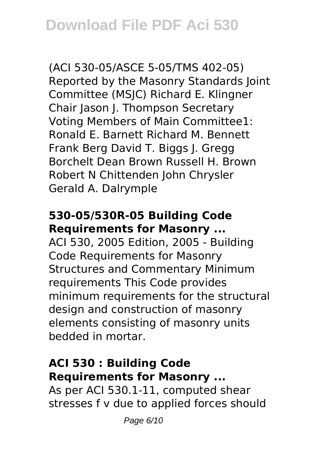(ACI 530-05/ASCE 5-05/TMS 402-05) Reported by the Masonry Standards Joint Committee (MSJC) Richard E. Klingner Chair Jason J. Thompson Secretary Voting Members of Main Committee1: Ronald E. Barnett Richard M. Bennett Frank Berg David T. Biggs J. Gregg Borchelt Dean Brown Russell H. Brown Robert N Chittenden John Chrysler Gerald A. Dalrymple

# **530-05/530R-05 Building Code Requirements for Masonry ...**

ACI 530, 2005 Edition, 2005 - Building Code Requirements for Masonry Structures and Commentary Minimum requirements This Code provides minimum requirements for the structural design and construction of masonry elements consisting of masonry units bedded in mortar.

## **ACI 530 : Building Code Requirements for Masonry ...**

As per ACI 530.1-11, computed shear stresses f v due to applied forces should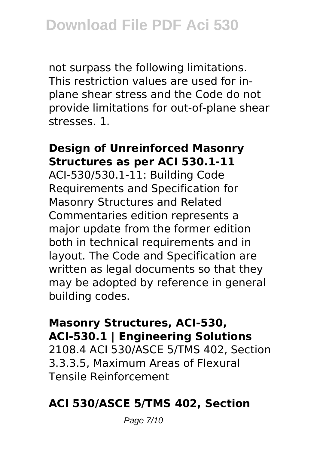not surpass the following limitations. This restriction values are used for inplane shear stress and the Code do not provide limitations for out-of-plane shear stresses. 1.

#### **Design of Unreinforced Masonry Structures as per ACI 530.1-11**

ACI-530/530.1-11: Building Code Requirements and Specification for Masonry Structures and Related Commentaries edition represents a major update from the former edition both in technical requirements and in layout. The Code and Specification are written as legal documents so that they may be adopted by reference in general building codes.

#### **Masonry Structures, ACI-530, ACI-530.1 | Engineering Solutions**

2108.4 ACI 530/ASCE 5/TMS 402, Section 3.3.3.5, Maximum Areas of Flexural Tensile Reinforcement

## **ACI 530/ASCE 5/TMS 402, Section**

Page 7/10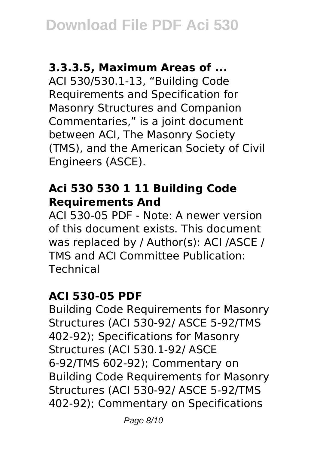## **3.3.3.5, Maximum Areas of ...**

ACI 530/530.1-13, "Building Code Requirements and Specification for Masonry Structures and Companion Commentaries," is a joint document between ACI, The Masonry Society (TMS), and the American Society of Civil Engineers (ASCE).

## **Aci 530 530 1 11 Building Code Requirements And**

ACI 530-05 PDF - Note: A newer version of this document exists. This document was replaced by / Author(s): ACI /ASCE / TMS and ACI Committee Publication: Technical

## **ACI 530-05 PDF**

Building Code Requirements for Masonry Structures (ACI 530-92/ ASCE 5-92/TMS 402-92); Specifications for Masonry Structures (ACI 530.1-92/ ASCE 6-92/TMS 602-92); Commentary on Building Code Requirements for Masonry Structures (ACI 530-92/ ASCE 5-92/TMS 402-92); Commentary on Specifications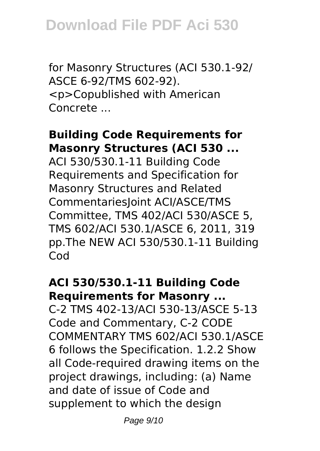for Masonry Structures (ACI 530.1-92/ ASCE 6-92/TMS 602-92). <p>Copublished with American Concrete ...

#### **Building Code Requirements for Masonry Structures (ACI 530 ...**

ACI 530/530.1-11 Building Code Requirements and Specification for Masonry Structures and Related CommentariesJoint ACI/ASCE/TMS Committee, TMS 402/ACI 530/ASCE 5, TMS 602/ACI 530.1/ASCE 6, 2011, 319 pp.The NEW ACI 530/530.1-11 Building Cod

#### **ACI 530/530.1-11 Building Code Requirements for Masonry ...**

C-2 TMS 402-13/ACI 530-13/ASCE 5-13 Code and Commentary, C-2 CODE COMMENTARY TMS 602/ACI 530.1/ASCE 6 follows the Specification. 1.2.2 Show all Code-required drawing items on the project drawings, including: (a) Name and date of issue of Code and supplement to which the design